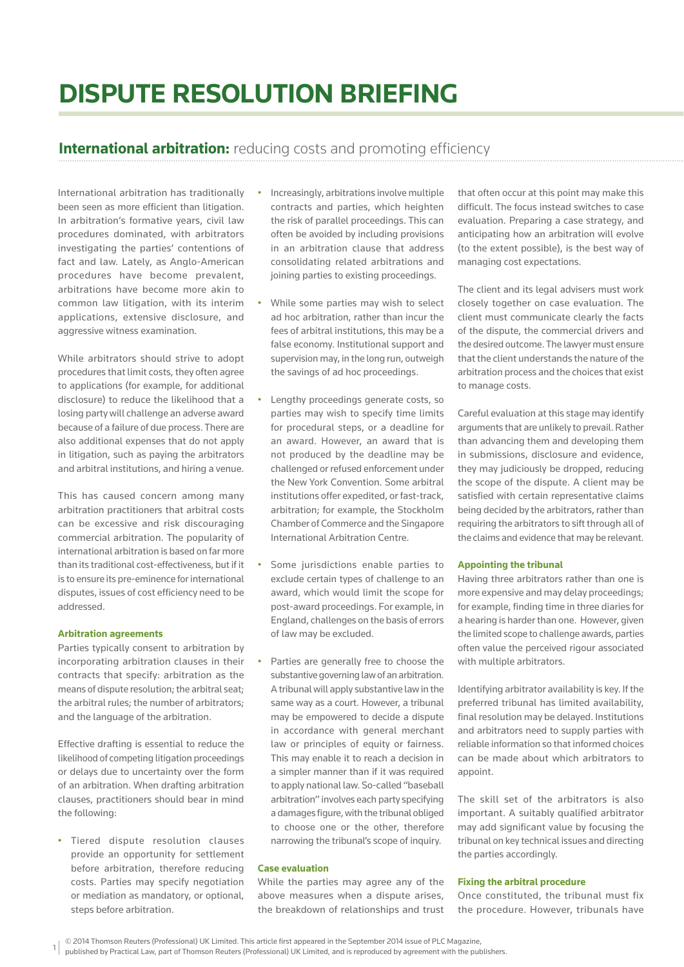# **DISPUTE RESOLUTION BRIEFING**

## **International arbitration:** reducing costs and promoting efficiency

International arbitration has traditionally been seen as more efficient than litigation. In arbitration's formative years, civil law procedures dominated, with arbitrators investigating the parties' contentions of fact and law. Lately, as Anglo-American procedures have become prevalent, arbitrations have become more akin to common law litigation, with its interim applications, extensive disclosure, and aggressive witness examination.

While arbitrators should strive to adopt procedures that limit costs, they often agree to applications (for example, for additional disclosure) to reduce the likelihood that a losing party will challenge an adverse award because of a failure of due process. There are also additional expenses that do not apply in litigation, such as paying the arbitrators and arbitral institutions, and hiring a venue.

This has caused concern among many arbitration practitioners that arbitral costs can be excessive and risk discouraging commercial arbitration. The popularity of international arbitration is based on far more than its traditional cost-effectiveness, but if it is to ensure its pre-eminence for international disputes, issues of cost efficiency need to be addressed.

#### **Arbitration agreements**

Parties typically consent to arbitration by incorporating arbitration clauses in their contracts that specify: arbitration as the means of dispute resolution; the arbitral seat; the arbitral rules; the number of arbitrators; and the language of the arbitration.

Effective drafting is essential to reduce the likelihood of competing litigation proceedings or delays due to uncertainty over the form of an arbitration. When drafting arbitration clauses, practitioners should bear in mind the following:

• Tiered dispute resolution clauses provide an opportunity for settlement before arbitration, therefore reducing costs. Parties may specify negotiation or mediation as mandatory, or optional, steps before arbitration.

- Increasingly, arbitrations involve multiple contracts and parties, which heighten the risk of parallel proceedings. This can often be avoided by including provisions in an arbitration clause that address consolidating related arbitrations and joining parties to existing proceedings.
- While some parties may wish to select ad hoc arbitration, rather than incur the fees of arbitral institutions, this may be a false economy. Institutional support and supervision may, in the long run, outweigh the savings of ad hoc proceedings.
- Lengthy proceedings generate costs, so parties may wish to specify time limits for procedural steps, or a deadline for an award. However, an award that is not produced by the deadline may be challenged or refused enforcement under the New York Convention. Some arbitral institutions offer expedited, or fast-track, arbitration; for example, the Stockholm Chamber of Commerce and the Singapore International Arbitration Centre.
- Some jurisdictions enable parties to exclude certain types of challenge to an award, which would limit the scope for post-award proceedings. For example, in England, challenges on the basis of errors of law may be excluded.
- Parties are generally free to choose the substantive governing law of an arbitration. A tribunal will apply substantive law in the same way as a court. However, a tribunal may be empowered to decide a dispute in accordance with general merchant law or principles of equity or fairness. This may enable it to reach a decision in a simpler manner than if it was required to apply national law. So-called "baseball arbitration" involves each party specifying a damages figure, with the tribunal obliged to choose one or the other, therefore narrowing the tribunal's scope of inquiry.

#### **Case evaluation**

While the parties may agree any of the above measures when a dispute arises, the breakdown of relationships and trust that often occur at this point may make this difficult. The focus instead switches to case evaluation. Preparing a case strategy, and anticipating how an arbitration will evolve (to the extent possible), is the best way of managing cost expectations.

The client and its legal advisers must work closely together on case evaluation. The client must communicate clearly the facts of the dispute, the commercial drivers and the desired outcome. The lawyer must ensure that the client understands the nature of the arbitration process and the choices that exist to manage costs.

Careful evaluation at this stage may identify arguments that are unlikely to prevail. Rather than advancing them and developing them in submissions, disclosure and evidence, they may judiciously be dropped, reducing the scope of the dispute. A client may be satisfied with certain representative claims being decided by the arbitrators, rather than requiring the arbitrators to sift through all of the claims and evidence that may be relevant.

#### **Appointing the tribunal**

Having three arbitrators rather than one is more expensive and may delay proceedings; for example, finding time in three diaries for a hearing is harder than one. However, given the limited scope to challenge awards, parties often value the perceived rigour associated with multiple arbitrators.

Identifying arbitrator availability is key. If the preferred tribunal has limited availability, final resolution may be delayed. Institutions and arbitrators need to supply parties with reliable information so that informed choices can be made about which arbitrators to appoint.

The skill set of the arbitrators is also important. A suitably qualified arbitrator may add significant value by focusing the tribunal on key technical issues and directing the parties accordingly.

#### **Fixing the arbitral procedure**

Once constituted, the tribunal must fix the procedure. However, tribunals have

<sup>© 2014</sup> Thomson Reuters (Professional) UK Limited. This article first appeared in the September 2014 issue of PLC Magazine,

<sup>1</sup> published by Practical Law, part of Thomson Reuters (Professional) UK Limited, and is reproduced by agreement with the publishers.